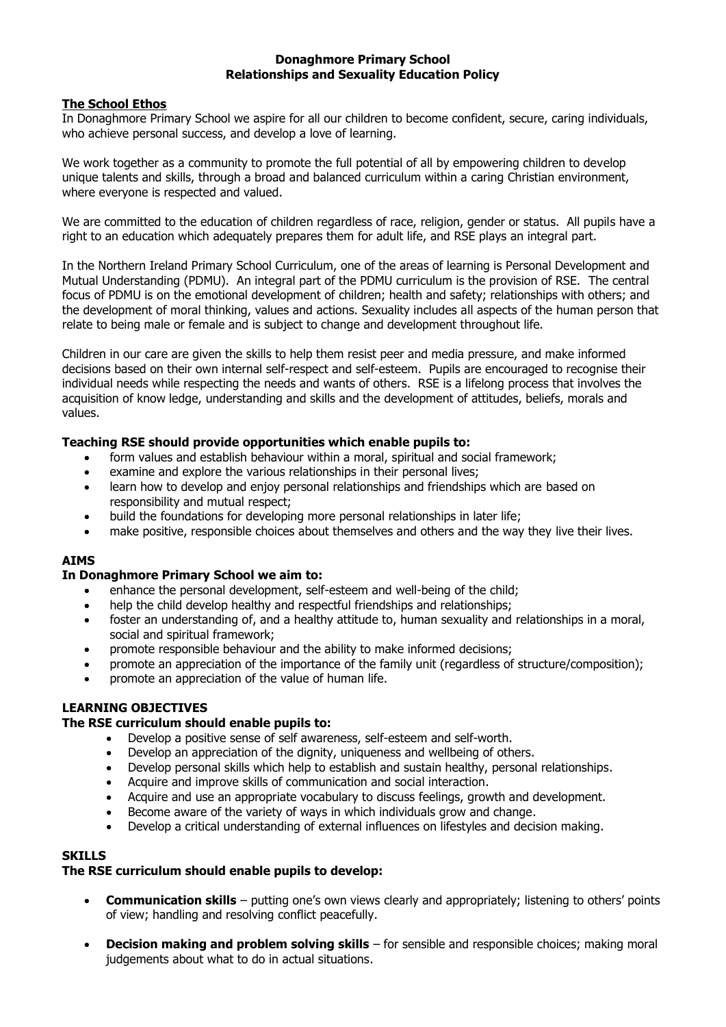### **Donaghmore Primary School Relationships and Sexuality Education Policy**

# **The School Ethos**

In Donaghmore Primary School we aspire for all our children to become confident, secure, caring individuals, who achieve personal success, and develop a love of learning.

We work together as a community to promote the full potential of all by empowering children to develop unique talents and skills, through a broad and balanced curriculum within a caring Christian environment, where everyone is respected and valued.

We are committed to the education of children regardless of race, religion, gender or status. All pupils have a right to an education which adequately prepares them for adult life, and RSE plays an integral part.

In the Northern Ireland Primary School Curriculum, one of the areas of learning is Personal Development and Mutual Understanding (PDMU). An integral part of the PDMU curriculum is the provision of RSE. The central focus of PDMU is on the emotional development of children; health and safety; relationships with others; and the development of moral thinking, values and actions. Sexuality includes all aspects of the human person that relate to being male or female and is subject to change and development throughout life.

Children in our care are given the skills to help them resist peer and media pressure, and make informed decisions based on their own internal self-respect and self-esteem. Pupils are encouraged to recognise their individual needs while respecting the needs and wants of others. RSE is a lifelong process that involves the acquisition of know ledge, understanding and skills and the development of attitudes, beliefs, morals and values.

# **Teaching RSE should provide opportunities which enable pupils to:**

- form values and establish behaviour within a moral, spiritual and social framework;
- examine and explore the various relationships in their personal lives;
- learn how to develop and enjoy personal relationships and friendships which are based on responsibility and mutual respect;
- build the foundations for developing more personal relationships in later life;
- make positive, responsible choices about themselves and others and the way they live their lives.

### **AIMS**

### **In Donaghmore Primary School we aim to:**

- enhance the personal development, self-esteem and well-being of the child;
- help the child develop healthy and respectful friendships and relationships;
- foster an understanding of, and a healthy attitude to, human sexuality and relationships in a moral, social and spiritual framework;
- promote responsible behaviour and the ability to make informed decisions;
- promote an appreciation of the importance of the family unit (regardless of structure/composition);
- promote an appreciation of the value of human life.

### **LEARNING OBJECTIVES**

### **The RSE curriculum should enable pupils to:**

- Develop a positive sense of self awareness, self-esteem and self-worth.
- Develop an appreciation of the dignity, uniqueness and wellbeing of others.
- Develop personal skills which help to establish and sustain healthy, personal relationships.
- Acquire and improve skills of communication and social interaction.
- Acquire and use an appropriate vocabulary to discuss feelings, growth and development.
- Become aware of the variety of ways in which individuals grow and change.
- Develop a critical understanding of external influences on lifestyles and decision making.

### **SKILLS**

### **The RSE curriculum should enable pupils to develop:**

- **Communication skills** putting one's own views clearly and appropriately; listening to others' points of view; handling and resolving conflict peacefully.
- **Decision making and problem solving skills** for sensible and responsible choices; making moral judgements about what to do in actual situations.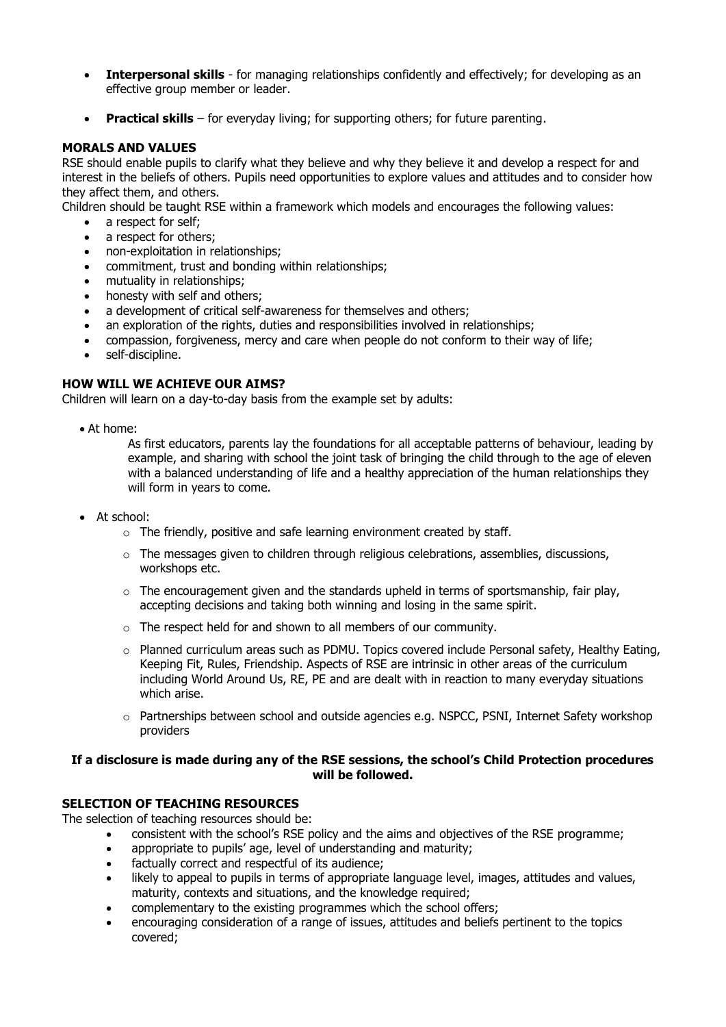- **Interpersonal skills** for managing relationships confidently and effectively; for developing as an effective group member or leader.
- **Practical skills** for everyday living; for supporting others; for future parenting.

# **MORALS AND VALUES**

RSE should enable pupils to clarify what they believe and why they believe it and develop a respect for and interest in the beliefs of others. Pupils need opportunities to explore values and attitudes and to consider how they affect them, and others.

Children should be taught RSE within a framework which models and encourages the following values:

- a respect for self:
- a respect for others;
- non-exploitation in relationships;
- commitment, trust and bonding within relationships;
- mutuality in relationships;
- honesty with self and others;
- a development of critical self-awareness for themselves and others;
- an exploration of the rights, duties and responsibilities involved in relationships;
- compassion, forgiveness, mercy and care when people do not conform to their way of life;
- self-discipline.

# **HOW WILL WE ACHIEVE OUR AIMS?**

Children will learn on a day-to-day basis from the example set by adults:

At home:

As first educators, parents lay the foundations for all acceptable patterns of behaviour, leading by example, and sharing with school the joint task of bringing the child through to the age of eleven with a balanced understanding of life and a healthy appreciation of the human relationships they will form in years to come.

- At school:
	- o The friendly, positive and safe learning environment created by staff.
	- o The messages given to children through religious celebrations, assemblies, discussions, workshops etc.
	- $\circ$  The encouragement given and the standards upheld in terms of sportsmanship, fair play, accepting decisions and taking both winning and losing in the same spirit.
	- o The respect held for and shown to all members of our community.
	- $\circ$  Planned curriculum areas such as PDMU. Topics covered include Personal safety, Healthy Eating, Keeping Fit, Rules, Friendship. Aspects of RSE are intrinsic in other areas of the curriculum including World Around Us, RE, PE and are dealt with in reaction to many everyday situations which arise.
	- o Partnerships between school and outside agencies e.g. NSPCC, PSNI, Internet Safety workshop providers

### **If a disclosure is made during any of the RSE sessions, the school's Child Protection procedures will be followed.**

# **SELECTION OF TEACHING RESOURCES**

The selection of teaching resources should be:

- consistent with the school's RSE policy and the aims and objectives of the RSE programme;
- appropriate to pupils' age, level of understanding and maturity;
- factually correct and respectful of its audience:
- likely to appeal to pupils in terms of appropriate language level, images, attitudes and values, maturity, contexts and situations, and the knowledge required;
- complementary to the existing programmes which the school offers;
- encouraging consideration of a range of issues, attitudes and beliefs pertinent to the topics covered;